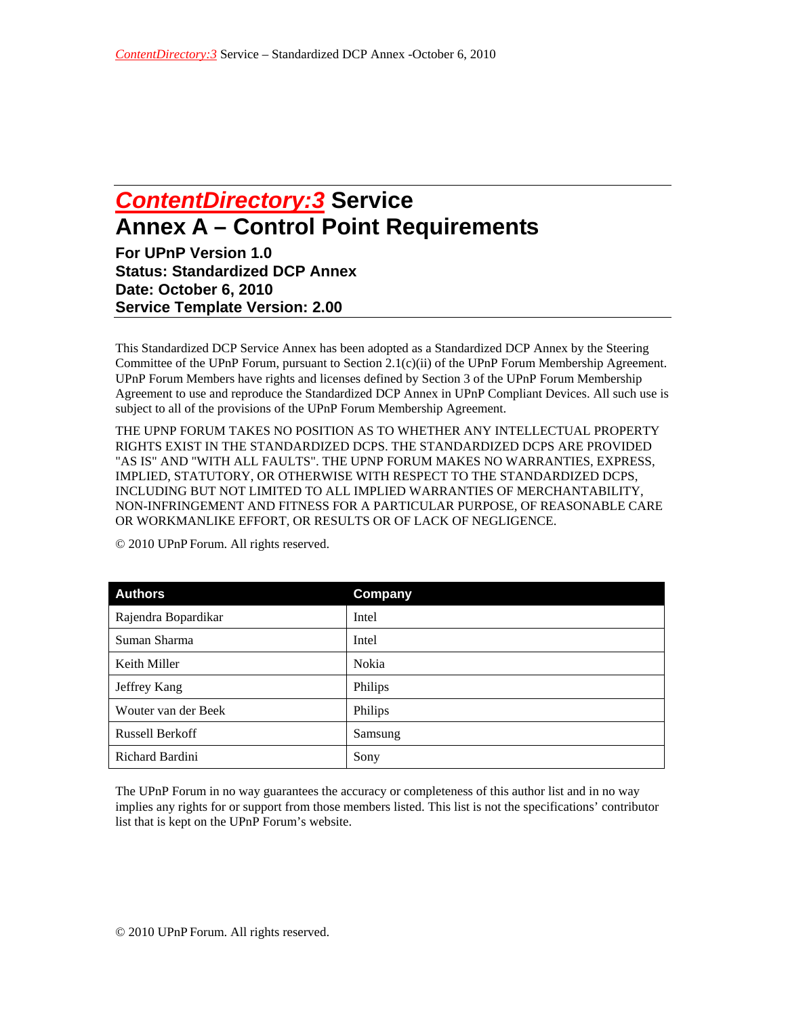## *ContentDirectory:3* **Service Annex A – Control Point Requirements**

**For UPnP Version 1.0 Status: Standardized DCP Annex Date: October 6, 2010 Service Template Version: 2.00** 

This Standardized DCP Service Annex has been adopted as a Standardized DCP Annex by the Steering Committee of the UPnP Forum, pursuant to Section 2.1(c)(ii) of the UPnP Forum Membership Agreement. UPnP Forum Members have rights and licenses defined by Section 3 of the UPnP Forum Membership Agreement to use and reproduce the Standardized DCP Annex in UPnP Compliant Devices. All such use is subject to all of the provisions of the UPnP Forum Membership Agreement.

THE UPNP FORUM TAKES NO POSITION AS TO WHETHER ANY INTELLECTUAL PROPERTY RIGHTS EXIST IN THE STANDARDIZED DCPS. THE STANDARDIZED DCPS ARE PROVIDED "AS IS" AND "WITH ALL FAULTS". THE UPNP FORUM MAKES NO WARRANTIES, EXPRESS, IMPLIED, STATUTORY, OR OTHERWISE WITH RESPECT TO THE STANDARDIZED DCPS, INCLUDING BUT NOT LIMITED TO ALL IMPLIED WARRANTIES OF MERCHANTABILITY, NON-INFRINGEMENT AND FITNESS FOR A PARTICULAR PURPOSE, OF REASONABLE CARE OR WORKMANLIKE EFFORT, OR RESULTS OR OF LACK OF NEGLIGENCE.

| <b>Authors</b>         | Company |
|------------------------|---------|
| Rajendra Bopardikar    | Intel   |
| Suman Sharma           | Intel   |
| Keith Miller           | Nokia   |
| Jeffrey Kang           | Philips |
| Wouter van der Beek    | Philips |
| <b>Russell Berkoff</b> | Samsung |
| Richard Bardini        | Sony    |

© 2010 UPnP Forum. All rights reserved.

The UPnP Forum in no way guarantees the accuracy or completeness of this author list and in no way implies any rights for or support from those members listed. This list is not the specifications' contributor list that is kept on the UPnP Forum's website.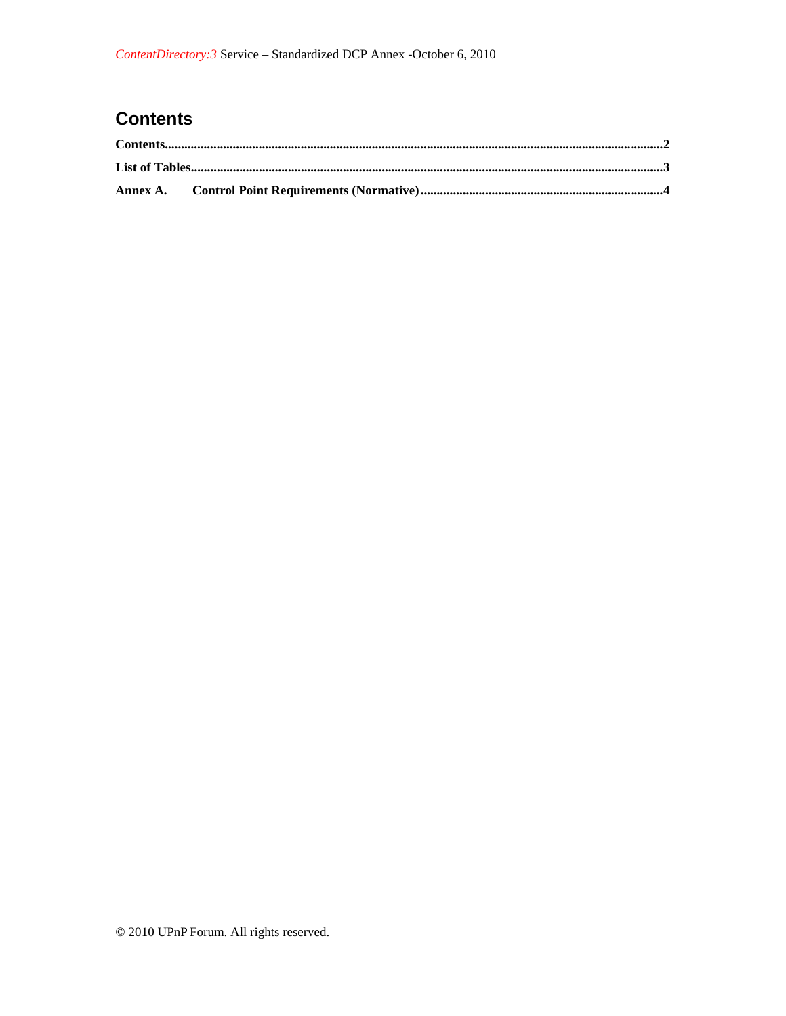## **Contents**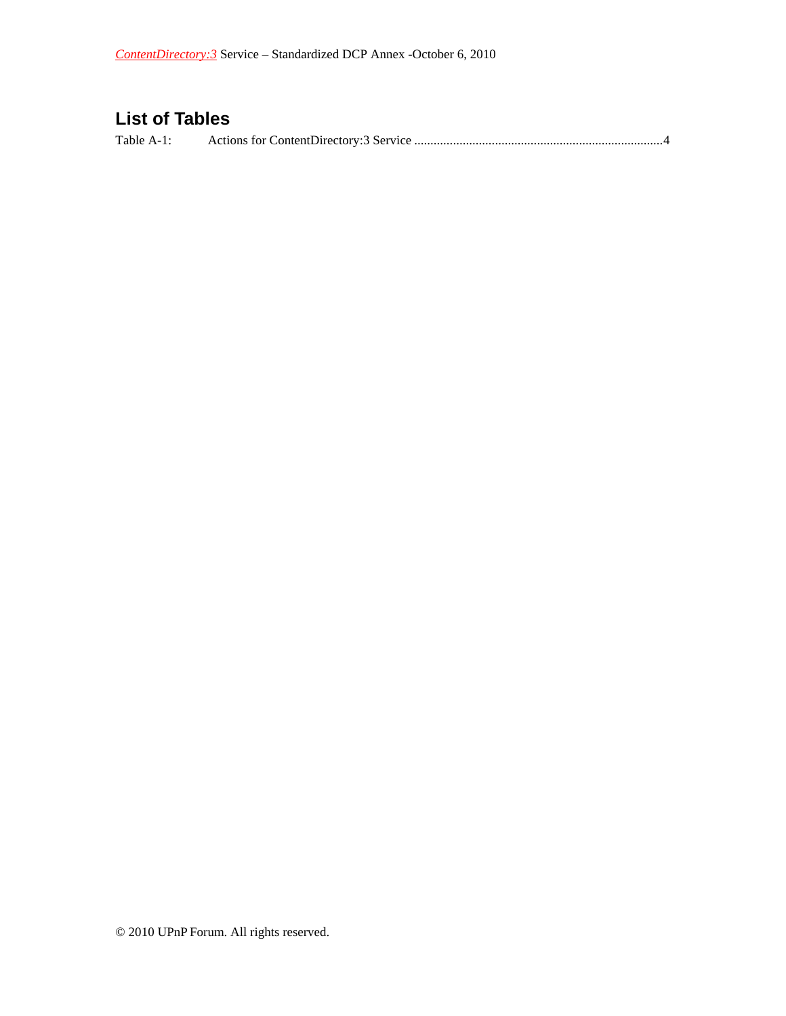## **List of Tables**

Table A-1: Actions for ContentDirectory:3 Service ............................................................................. 4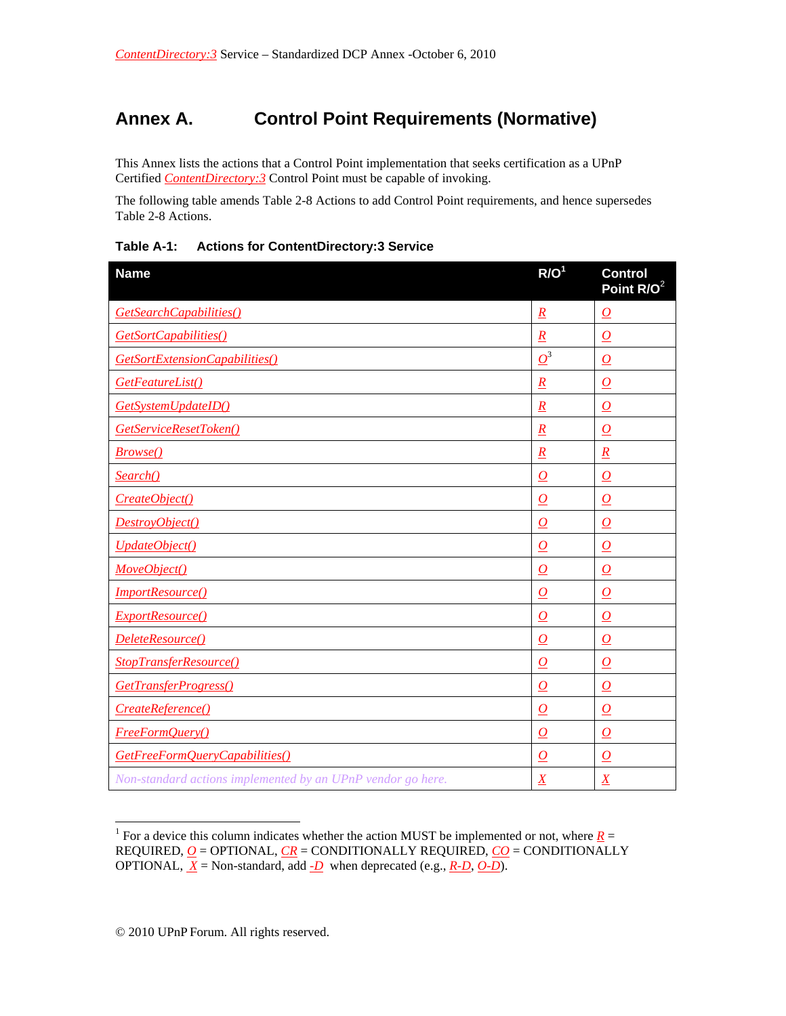## **Annex A. Control Point Requirements (Normative)**

This Annex lists the actions that a Control Point implementation that seeks certification as a UPnP Certified *ContentDirectory:3* Control Point must be capable of invoking.

The following table amends Table 2-8 Actions to add Control Point requirements, and hence supersedes Table 2-8 Actions.

| <b>Name</b>                                                 | R/O <sup>1</sup>    | <b>Control</b><br>Point R/O <sup>2</sup> |
|-------------------------------------------------------------|---------------------|------------------------------------------|
| GetSearchCapabilities()                                     | $\underline{R}$     | $\overline{\Omega}$                      |
| GetSortCapabilities()                                       | $\overline{R}$      | $\overline{O}$                           |
| GetSortExtensionCapabilities()                              | $\boldsymbol{O}^3$  | $\overline{\Omega}$                      |
| GetFeatureList()                                            | $\overline{R}$      | $\overline{O}$                           |
| GetSystemUpdateID()                                         | $\underline{R}$     | $\overline{\Omega}$                      |
| GetServiceResetToken()                                      | $\underline{R}$     | $\boldsymbol{o}$                         |
| <b>Browse()</b>                                             | $\overline{R}$      | $\overline{R}$                           |
| Search()                                                    | $\overline{\Omega}$ | $\boldsymbol{o}$                         |
| CreateObject()                                              | $\Omega$            | $\Omega$                                 |
| DestroyObject()                                             | $\boldsymbol{O}$    | $\boldsymbol{O}$                         |
| UpdateObject()                                              | $\overline{\Omega}$ | $\overline{\Omega}$                      |
| MoveObject()                                                | $\bm{O}$            | $\bm{O}$                                 |
| <b>ImportResource()</b>                                     | $\boldsymbol{O}$    | $\boldsymbol{O}$                         |
| ExportResource()                                            | $\overline{\Omega}$ | $\overline{\Omega}$                      |
| DeleteResource()                                            | $\overline{O}$      | $\Omega$                                 |
| StopTransferResource()                                      | $\boldsymbol{o}$    | $\overline{\Omega}$                      |
| GetTransferProgress()                                       | $\boldsymbol{O}$    | $\boldsymbol{o}$                         |
| CreateReference()                                           | $\bm{O}$            | $\boldsymbol{o}$                         |
| <b>FreeFormQuery()</b>                                      | $\overline{O}$      | $\overline{O}$                           |
| GetFreeFormQueryCapabilities()                              | $\bm{O}$            | $\boldsymbol{O}$                         |
| Non-standard actions implemented by an UPnP vendor go here. | $\overline{X}$      | $\overline{X}$                           |

**Table A-1: Actions for ContentDirectory:3 Service** 

 $\overline{a}$ 

<sup>&</sup>lt;sup>1</sup> For a device this column indicates whether the action MUST be implemented or not, where  $R =$ REQUIRED, *O* = OPTIONAL, *CR* = CONDITIONALLY REQUIRED, *CO* = CONDITIONALLY OPTIONAL,  $\overline{X}$  = Non-standard, add  $\overline{\text{-}D}$  when deprecated (e.g.,  $\overline{R}$ - $\overline{\text{D}}$ ,  $\overline{O}$ - $\overline{\text{D}}$ ).